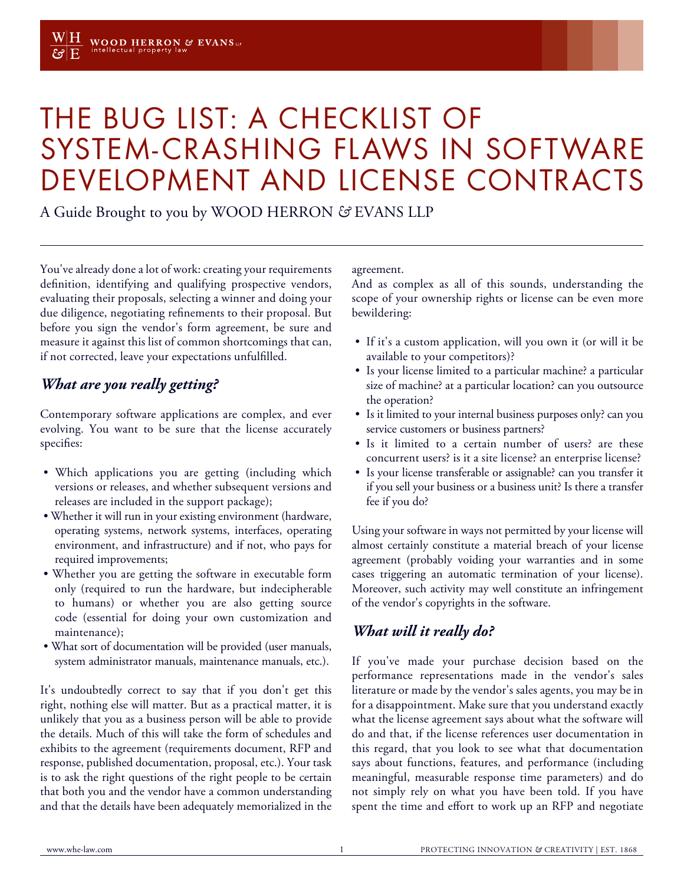# THE BUG LIST: A CHECKLIST OF SYSTEM-CRASHING FLAWS IN SOFTWARE DEVELOPMENT AND LICENSE CONTRACTS

A Guide Brought to you by WOOD HERRON *&* EVANS LLP

You've already done a lot of work: creating your requirements definition, identifying and qualifying prospective vendors, evaluating their proposals, selecting a winner and doing your due diligence, negotiating refinements to their proposal. But before you sign the vendor's form agreement, be sure and measure it against this list of common shortcomings that can, if not corrected, leave your expectations unfulfilled.

#### *What are you really getting?*

Contemporary software applications are complex, and ever evolving. You want to be sure that the license accurately specifies:

- Which applications you are getting (including which versions or releases, and whether subsequent versions and releases are included in the support package);
- Whether it will run in your existing environment (hardware, operating systems, network systems, interfaces, operating environment, and infrastructure) and if not, who pays for required improvements;
- Whether you are getting the software in executable form only (required to run the hardware, but indecipherable to humans) or whether you are also getting source code (essential for doing your own customization and maintenance);
- What sort of documentation will be provided (user manuals, system administrator manuals, maintenance manuals, etc.).

It's undoubtedly correct to say that if you don't get this right, nothing else will matter. But as a practical matter, it is unlikely that you as a business person will be able to provide the details. Much of this will take the form of schedules and exhibits to the agreement (requirements document, RFP and response, published documentation, proposal, etc.). Your task is to ask the right questions of the right people to be certain that both you and the vendor have a common understanding and that the details have been adequately memorialized in the

agreement.

And as complex as all of this sounds, understanding the scope of your ownership rights or license can be even more bewildering:

- If it's a custom application, will you own it (or will it be available to your competitors)?
- Is your license limited to a particular machine? a particular size of machine? at a particular location? can you outsource the operation?
- Is it limited to your internal business purposes only? can you service customers or business partners?
- Is it limited to a certain number of users? are these concurrent users? is it a site license? an enterprise license?
- Is your license transferable or assignable? can you transfer it if you sell your business or a business unit? Is there a transfer fee if you do?

Using your software in ways not permitted by your license will almost certainly constitute a material breach of your license agreement (probably voiding your warranties and in some cases triggering an automatic termination of your license). Moreover, such activity may well constitute an infringement of the vendor's copyrights in the software.

### *What will it really do?*

If you've made your purchase decision based on the performance representations made in the vendor's sales literature or made by the vendor's sales agents, you may be in for a disappointment. Make sure that you understand exactly what the license agreement says about what the software will do and that, if the license references user documentation in this regard, that you look to see what that documentation says about functions, features, and performance (including meaningful, measurable response time parameters) and do not simply rely on what you have been told. If you have spent the time and effort to work up an RFP and negotiate